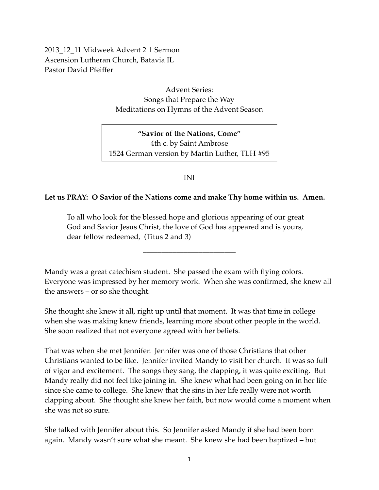2013 12 11 Midweek Advent 2 | Sermon Ascension Lutheran Church, Batavia IL Pastor David Pfeiffer

> Advent Series: Songs that Prepare the Way Meditations on Hymns of the Advent Season

**"Savior of the Nations, Come"** 4th c. by Saint Ambrose 1524 German version by Martin Luther, TLH #95

INI

## **Let us PRAY: O Savior of the Nations come and make Thy home within us. Amen.**

To all who look for the blessed hope and glorious appearing of our great God and Savior Jesus Christ, the love of God has appeared and is yours, dear fellow redeemed, (Titus 2 and 3)

Mandy was a great catechism student. She passed the exam with flying colors. Everyone was impressed by her memory work. When she was confirmed, she knew all the answers – or so she thought.

–––––––––––––––––––––––––

She thought she knew it all, right up until that moment. It was that time in college when she was making knew friends, learning more about other people in the world. She soon realized that not everyone agreed with her beliefs.

That was when she met Jennifer. Jennifer was one of those Christians that other Christians wanted to be like. Jennifer invited Mandy to visit her church. It was so full of vigor and excitement. The songs they sang, the clapping, it was quite exciting. But Mandy really did not feel like joining in. She knew what had been going on in her life since she came to college. She knew that the sins in her life really were not worth clapping about. She thought she knew her faith, but now would come a moment when she was not so sure.

She talked with Jennifer about this. So Jennifer asked Mandy if she had been born again. Mandy wasn't sure what she meant. She knew she had been baptized – but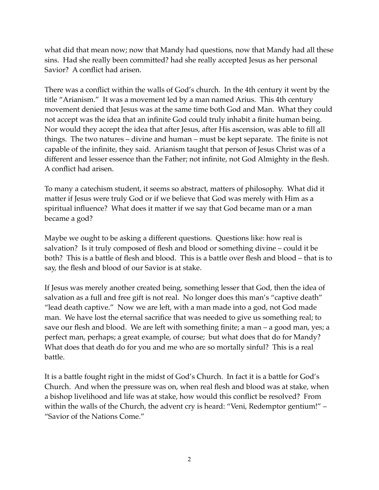what did that mean now; now that Mandy had questions, now that Mandy had all these sins. Had she really been committed? had she really accepted Jesus as her personal Savior? A conflict had arisen.

There was a conflict within the walls of God's church. In the 4th century it went by the title "Arianism." It was a movement led by a man named Arius. This 4th century movement denied that Jesus was at the same time both God and Man. What they could not accept was the idea that an infinite God could truly inhabit a finite human being. Nor would they accept the idea that after Jesus, after His ascension, was able to fill all things. The two natures – divine and human – must be kept separate. The finite is not capable of the infinite, they said. Arianism taught that person of Jesus Christ was of a different and lesser essence than the Father; not infinite, not God Almighty in the flesh. A conflict had arisen.

To many a catechism student, it seems so abstract, matters of philosophy. What did it matter if Jesus were truly God or if we believe that God was merely with Him as a spiritual influence? What does it matter if we say that God became man or a man became a god?

Maybe we ought to be asking a different questions. Questions like: how real is salvation? Is it truly composed of flesh and blood or something divine – could it be both? This is a battle of flesh and blood. This is a battle over flesh and blood – that is to say, the flesh and blood of our Savior is at stake.

If Jesus was merely another created being, something lesser that God, then the idea of salvation as a full and free gift is not real. No longer does this man's "captive death" "lead death captive." Now we are left, with a man made into a god, not God made man. We have lost the eternal sacrifice that was needed to give us something real; to save our flesh and blood. We are left with something finite; a man – a good man, yes; a perfect man, perhaps; a great example, of course; but what does that do for Mandy? What does that death do for you and me who are so mortally sinful? This is a real battle.

It is a battle fought right in the midst of God's Church. In fact it is a battle for God's Church. And when the pressure was on, when real flesh and blood was at stake, when a bishop livelihood and life was at stake, how would this conflict be resolved? From within the walls of the Church, the advent cry is heard: "Veni, Redemptor gentium!" – "Savior of the Nations Come."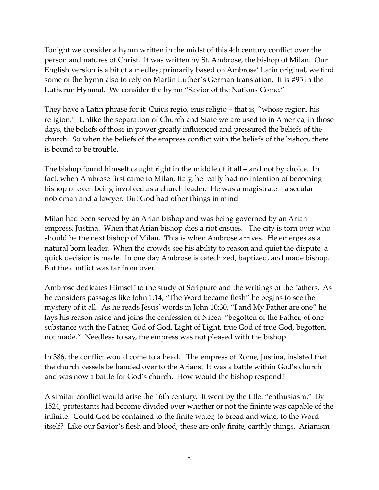Tonight we consider a hymn written in the midst of this 4th century conflict over the person and natures of Christ. It was written by St. Ambrose, the bishop of Milan. Our English version is a bit of a medley; primarily based on Ambrose' Latin original, we find some of the hymn also to rely on Martin Luther's German translation. It is #95 in the Lutheran Hymnal. We consider the hymn "Savior of the Nations Come."

They have a Latin phrase for it: Cuius regio, eius religio – that is, "whose region, his religion." Unlike the separation of Church and State we are used to in America, in those days, the beliefs of those in power greatly influenced and pressured the beliefs of the church. So when the beliefs of the empress conflict with the beliefs of the bishop, there is bound to be trouble.

The bishop found himself caught right in the middle of it all – and not by choice. In fact, when Ambrose first came to Milan, Italy, he really had no intention of becoming bishop or even being involved as a church leader. He was a magistrate – a secular nobleman and a lawyer. But God had other things in mind.

Milan had been served by an Arian bishop and was being governed by an Arian empress, Justina. When that Arian bishop dies a riot ensues. The city is torn over who should be the next bishop of Milan. This is when Ambrose arrives. He emerges as a natural born leader. When the crowds see his ability to reason and quiet the dispute, a quick decision is made. In one day Ambrose is catechized, baptized, and made bishop. But the conflict was far from over.

Ambrose dedicates Himself to the study of Scripture and the writings of the fathers. As he considers passages like John 1:14, "The Word became flesh" he begins to see the mystery of it all. As he reads Jesus' words in John 10:30, "I and My Father are one" he lays his reason aside and joins the confession of Nicea: "begotten of the Father, of one substance with the Father, God of God, Light of Light, true God of true God, begotten, not made." Needless to say, the empress was not pleased with the bishop.

In 386, the conflict would come to a head. The empress of Rome, Justina, insisted that the church vessels be handed over to the Arians. It was a battle within God's church and was now a battle for God's church. How would the bishop respond?

A similar conflict would arise the 16th century. It went by the title: "enthusiasm." By 1524, protestants had become divided over whether or not the fininte was capable of the infinite. Could God be contained to the finite water, to bread and wine, to the Word itself? Like our Savior's flesh and blood, these are only finite, earthly things. Arianism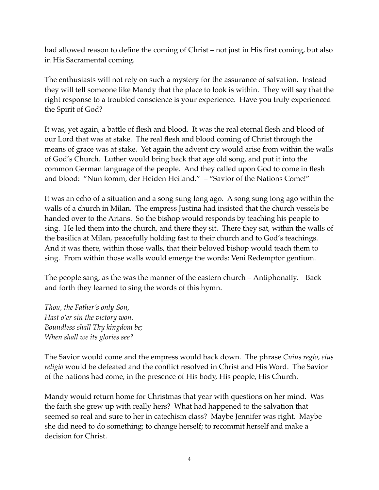had allowed reason to define the coming of Christ – not just in His first coming, but also in His Sacramental coming.

The enthusiasts will not rely on such a mystery for the assurance of salvation. Instead they will tell someone like Mandy that the place to look is within. They will say that the right response to a troubled conscience is your experience. Have you truly experienced the Spirit of God?

It was, yet again, a battle of flesh and blood. It was the real eternal flesh and blood of our Lord that was at stake. The real flesh and blood coming of Christ through the means of grace was at stake. Yet again the advent cry would arise from within the walls of God's Church. Luther would bring back that age old song, and put it into the common German language of the people. And they called upon God to come in flesh and blood: "Nun komm, der Heiden Heiland." – "Savior of the Nations Come!"

It was an echo of a situation and a song sung long ago. A song sung long ago within the walls of a church in Milan. The empress Justina had insisted that the church vessels be handed over to the Arians. So the bishop would responds by teaching his people to sing. He led them into the church, and there they sit. There they sat, within the walls of the basilica at Milan, peacefully holding fast to their church and to God's teachings. And it was there, within those walls, that their beloved bishop would teach them to sing. From within those walls would emerge the words: Veni Redemptor gentium.

The people sang, as the was the manner of the eastern church – Antiphonally. Back and forth they learned to sing the words of this hymn.

*Thou, the Father's only Son, Hast o'er sin the victory won. Boundless shall Thy kingdom be; When shall we its glories see?*

The Savior would come and the empress would back down. The phrase *Cuius regio, eius religio* would be defeated and the conflict resolved in Christ and His Word. The Savior of the nations had come, in the presence of His body, His people, His Church.

Mandy would return home for Christmas that year with questions on her mind. Was the faith she grew up with really hers? What had happened to the salvation that seemed so real and sure to her in catechism class? Maybe Jennifer was right. Maybe she did need to do something; to change herself; to recommit herself and make a decision for Christ.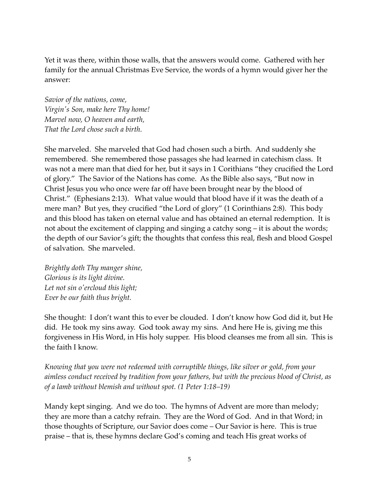Yet it was there, within those walls, that the answers would come. Gathered with her family for the annual Christmas Eve Service, the words of a hymn would giver her the answer:

*Savior of the nations, come, Virgin's Son, make here Thy home! Marvel now, O heaven and earth, That the Lord chose such a birth.*

She marveled. She marveled that God had chosen such a birth. And suddenly she remembered. She remembered those passages she had learned in catechism class. It was not a mere man that died for her, but it says in 1 Corithians "they crucified the Lord of glory." The Savior of the Nations has come. As the Bible also says, "But now in Christ Jesus you who once were far off have been brought near by the blood of Christ." (Ephesians 2:13). What value would that blood have if it was the death of a mere man? But yes, they crucified "the Lord of glory" (1 Corinthians 2:8). This body and this blood has taken on eternal value and has obtained an eternal redemption. It is not about the excitement of clapping and singing a catchy song – it is about the words; the depth of our Savior's gift; the thoughts that confess this real, flesh and blood Gospel of salvation. She marveled.

*Brightly doth Thy manger shine, Glorious is its light divine. Let not sin o'ercloud this light; Ever be our faith thus bright.*

She thought: I don't want this to ever be clouded. I don't know how God did it, but He did. He took my sins away. God took away my sins. And here He is, giving me this forgiveness in His Word, in His holy supper. His blood cleanses me from all sin. This is the faith I know.

*Knowing that you were not redeemed with corruptible things, like silver or gold, from your aimless conduct received by tradition from your fathers, but with the precious blood of Christ, as of a lamb without blemish and without spot. (1 Peter 1:18–19)*

Mandy kept singing. And we do too. The hymns of Advent are more than melody; they are more than a catchy refrain. They are the Word of God. And in that Word; in those thoughts of Scripture, our Savior does come – Our Savior is here. This is true praise – that is, these hymns declare God's coming and teach His great works of